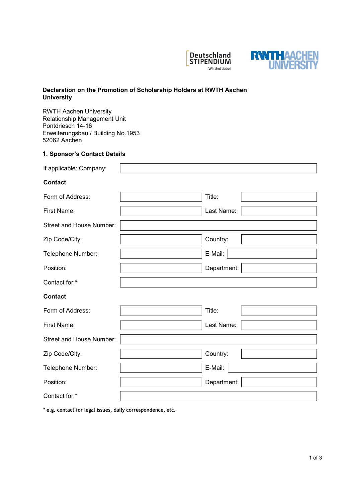



# Declaration on the Promotion of Scholarship Holders at RWTH Aachen **University**

RWTH Aachen University Relationship Management Unit Pontdriesch 14-16 Erweiterungsbau / Building No.1953 52062 Aachen

## 1. Sponsor's Contact Details

| if applicable: Company:  |             |
|--------------------------|-------------|
| <b>Contact</b>           |             |
| Form of Address:         | Title:      |
| First Name:              | Last Name:  |
| Street and House Number: |             |
| Zip Code/City:           | Country:    |
| Telephone Number:        | E-Mail:     |
| Position:                | Department: |
| Contact for:*            |             |
| <b>Contact</b>           |             |
| Form of Address:         | Title:      |
| First Name:              | Last Name:  |
| Street and House Number: |             |
| Zip Code/City:           | Country:    |
| Telephone Number:        | E-Mail:     |
| Position:                | Department: |
| Contact for:*            |             |

\* e.g. contact for legal issues, daily correspondence, etc.

 $\overline{\phantom{a}}$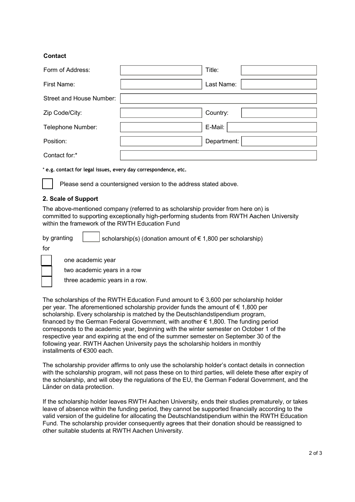# **Contact**

| Form of Address:         | Title:      |
|--------------------------|-------------|
| First Name:              | Last Name:  |
| Street and House Number: |             |
| Zip Code/City:           | Country:    |
| Telephone Number:        | E-Mail:     |
| Position:                | Department: |
| Contact for:*            |             |

\* e.g. contact for legal issues, every day correspondence, etc.

Please send a countersigned version to the address stated above.

## 2. Scale of Support

The above-mentioned company (referred to as scholarship provider from here on) is committed to supporting exceptionally high-performing students from RWTH Aachen University within the framework of the RWTH Education Fund

by granting  $\vert$  scholarship(s) (donation amount of  $\epsilon$  1,800 per scholarship)



one academic year

two academic years in a row

three academic years in a row.

The scholarships of the RWTH Education Fund amount to  $\epsilon$  3,600 per scholarship holder per year. The aforementioned scholarship provider funds the amount of  $\epsilon$  1,800 per scholarship. Every scholarship is matched by the Deutschlandstipendium program, financed by the German Federal Government, with another € 1,800. The funding period corresponds to the academic year, beginning with the winter semester on October 1 of the respective year and expiring at the end of the summer semester on September 30 of the following year. RWTH Aachen University pays the scholarship holders in monthly installments of €300 each.

The scholarship provider affirms to only use the scholarship holder's contact details in connection with the scholarship program, will not pass these on to third parties, will delete these after expiry of the scholarship, and will obey the regulations of the EU, the German Federal Government, and the Länder on data protection.

If the scholarship holder leaves RWTH Aachen University, ends their studies prematurely, or takes leave of absence within the funding period, they cannot be supported financially according to the valid version of the guideline for allocating the Deutschlandstipendium within the RWTH Education Fund. The scholarship provider consequently agrees that their donation should be reassigned to other suitable students at RWTH Aachen University.